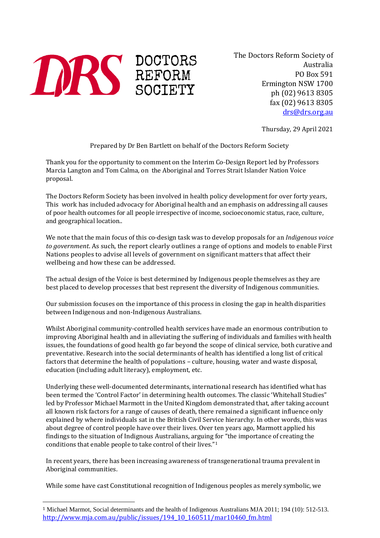

The Doctors Reform Society of Australia PO Box 591 Ermington NSW 1700 ph (02) 9613 8305 fax (02) 9613 8305 [drs@drs.org.au](mailto:drs@drs.org.au)

Thursday, 29 April 2021

Prepared by Dr Ben Bartlett on behalf of the Doctors Reform Society

Thank you for the opportunity to comment on the Interim Co-Design Report led by Professors Marcia Langton and Tom Calma, on the Aboriginal and Torres Strait Islander Nation Voice proposal.

The Doctors Reform Society has been involved in health policy development for over forty years, This work has included advocacy for Aboriginal health and an emphasis on addressing all causes of poor health outcomes for all people irrespective of income, socioeconomic status, race, culture, and geographical location..

We note that the main focus of this co-design task was to develop proposals for an *Indigenous voice to government*. As such, the report clearly outlines a range of options and models to enable First Nations peoples to advise all levels of government on significant matters that affect their wellbeing and how these can be addressed.

The actual design of the Voice is best determined by Indigenous people themselves as they are best placed to develop processes that best represent the diversity of Indigenous communities.

Our submission focuses on the importance of this process in closing the gap in health disparities between Indigenous and non-Indigenous Australians.

Whilst Aboriginal community-controlled health services have made an enormous contribution to improving Aboriginal health and in alleviating the suffering of individuals and families with health issues, the foundations of good health go far beyond the scope of clinical service, both curative and preventative. Research into the social determinants of health has identified a long list of critical factors that determine the health of populations – culture, housing, water and waste disposal, education (including adult literacy), employment, etc.

Underlying these well-documented determinants, international research has identified what has been termed the 'Control Factor' in determining health outcomes. The classic 'Whitehall Studies" led by Professor Michael Marmott in the United Kingdom demonstrated that, after taking account all known risk factors for a range of causes of death, there remained a significant influence only explained by where individuals sat in the British Civil Service hierarchy. In other words, this was about degree of control people have over their lives. Over ten years ago, Marmott applied his findings to the situation of Indignous Australians, arguing [fo](#page-0-0)r "the importance of creating the conditions that enable people to take control of their lives."1

In recent years, there has been increasing awareness of transgenerational trauma prevalent in Aboriginal communities.

While some have cast Constitutional recognition of Indigenous peoples as merely symbolic, we

<span id="page-0-0"></span> <sup>1</sup> Michael Marmot, Social determinants and the health of Indigenous Australians MJA 2011; 194 (10): 512-513. [http://www.mja.com.au/public/issues/194\\_10\\_160511/mar10460\\_fm.html](http://www.mja.com.au/public/issues/194_10_160511/mar10460_fm.html)